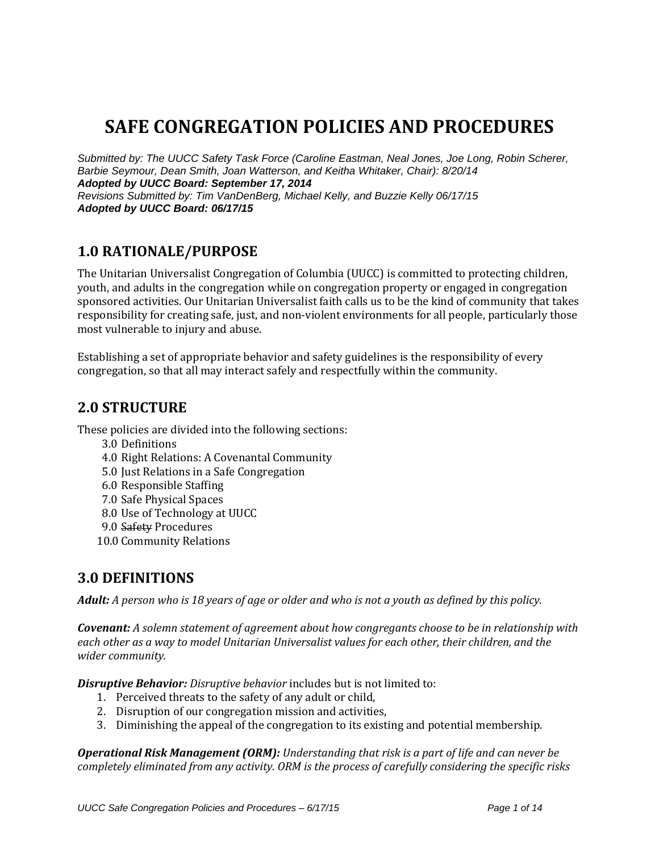# **SAFE CONGREGATION POLICIES AND PROCEDURES**

*Submitted by: The UUCC Safety Task Force (Caroline Eastman, Neal Jones, Joe Long, Robin Scherer, Barbie Seymour, Dean Smith, Joan Watterson, and Keitha Whitaker, Chair): 8/20/14 Adopted by UUCC Board: September 17, 2014 Revisions Submitted by: Tim VanDenBerg, Michael Kelly, and Buzzie Kelly 06/17/15 Adopted by UUCC Board: 06/17/15*

### **1.0 RATIONALE/PURPOSE**

The Unitarian Universalist Congregation of Columbia (UUCC) is committed to protecting children, youth, and adults in the congregation while on congregation property or engaged in congregation sponsored activities. Our Unitarian Universalist faith calls us to be the kind of community that takes responsibility for creating safe, just, and non-violent environments for all people, particularly those most vulnerable to injury and abuse.

Establishing a set of appropriate behavior and safety guidelines is the responsibility of every congregation, so that all may interact safely and respectfully within the community.

#### **2.0 STRUCTURE**

These policies are divided into the following sections:

- 3.0 Definitions
- 4.0 Right Relations: A Covenantal Community
- 5.0 Just Relations in a Safe Congregation
- 6.0 Responsible Staffing
- 7.0 Safe Physical Spaces
- 8.0 Use of Technology at UUCC
- 9.0 Safety Procedures
- 10.0 Community Relations

#### **3.0 DEFINITIONS**

*Adult: A person who is 18 years of age or older and who is not a youth as defined by this policy.*

*Covenant: A solemn statement of agreement about how congregants choose to be in relationship with each other as a way to model Unitarian Universalist values for each other, their children, and the wider community.*

*Disruptive Behavior: Disruptive behavior* includes but is not limited to:

- 1. Perceived threats to the safety of any adult or child,
- 2. Disruption of our congregation mission and activities,
- 3. Diminishing the appeal of the congregation to its existing and potential membership.

*Operational Risk Management (ORM): Understanding that risk is a part of life and can never be completely eliminated from any activity. ORM is the process of carefully considering the specific risks*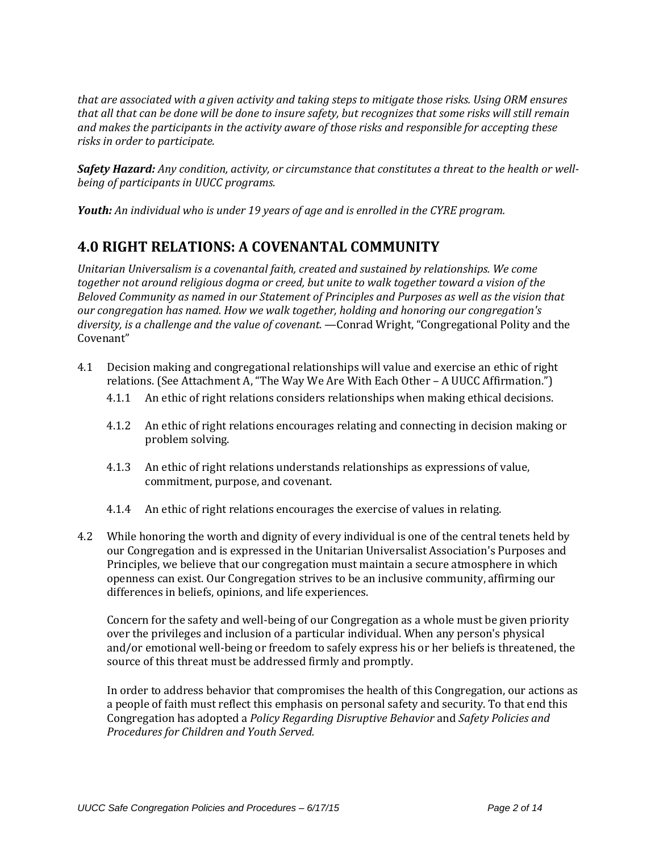*that are associated with a given activity and taking steps to mitigate those risks. Using ORM ensures that all that can be done will be done to insure safety, but recognizes that some risks will still remain and makes the participants in the activity aware of those risks and responsible for accepting these risks in order to participate.*

*Safety Hazard: Any condition, activity, or circumstance that constitutes a threat to the health or wellbeing of participants in UUCC programs.*

*Youth: An individual who is under 19 years of age and is enrolled in the CYRE program.*

## **4.0 RIGHT RELATIONS: A COVENANTAL COMMUNITY**

*Unitarian Universalism is a covenantal faith, created and sustained by relationships. We come together not around religious dogma or creed, but unite to walk together toward a vision of the Beloved Community as named in our Statement of Principles and Purposes as well as the vision that our congregation has named. How we walk together, holding and honoring our congregation's diversity, is a challenge and the value of covenant.* —Conrad Wright, "Congregational Polity and the Covenant"

- 4.1 Decision making and congregational relationships will value and exercise an ethic of right relations. (See Attachment A, "The Way We Are With Each Other – A UUCC Affirmation.")
	- 4.1.1 An ethic of right relations considers relationships when making ethical decisions.
	- 4.1.2 An ethic of right relations encourages relating and connecting in decision making or problem solving.
	- 4.1.3 An ethic of right relations understands relationships as expressions of value, commitment, purpose, and covenant.
	- 4.1.4 An ethic of right relations encourages the exercise of values in relating.
- 4.2 While honoring the worth and dignity of every individual is one of the central tenets held by our Congregation and is expressed in the Unitarian Universalist Association's Purposes and Principles, we believe that our congregation must maintain a secure atmosphere in which openness can exist. Our Congregation strives to be an inclusive community, affirming our differences in beliefs, opinions, and life experiences.

Concern for the safety and well-being of our Congregation as a whole must be given priority over the privileges and inclusion of a particular individual. When any person's physical and/or emotional well-being or freedom to safely express his or her beliefs is threatened, the source of this threat must be addressed firmly and promptly.

In order to address behavior that compromises the health of this Congregation, our actions as a people of faith must reflect this emphasis on personal safety and security. To that end this Congregation has adopted a *Policy Regarding Disruptive Behavior* and *Safety Policies and Procedures for Children and Youth Served.*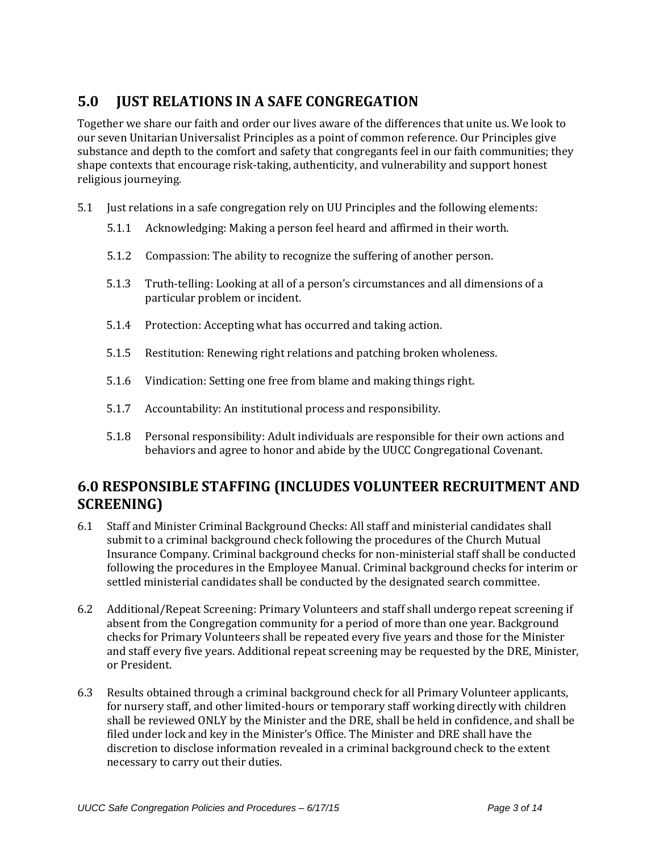# **5.0 JUST RELATIONS IN A SAFE CONGREGATION**

Together we share our faith and order our lives aware of the differences that unite us. We look to our seven Unitarian Universalist Principles as a point of common reference. Our Principles give substance and depth to the comfort and safety that congregants feel in our faith communities; they shape contexts that encourage risk-taking, authenticity, and vulnerability and support honest religious journeying.

- 5.1 Just relations in a safe congregation rely on UU Principles and the following elements:
	- 5.1.1 Acknowledging: Making a person feel heard and affirmed in their worth.
	- 5.1.2 Compassion: The ability to recognize the suffering of another person.
	- 5.1.3 Truth-telling: Looking at all of a person's circumstances and all dimensions of a particular problem or incident.
	- 5.1.4 Protection: Accepting what has occurred and taking action.
	- 5.1.5 Restitution: Renewing right relations and patching broken wholeness.
	- 5.1.6 Vindication: Setting one free from blame and making things right.
	- 5.1.7 Accountability: An institutional process and responsibility.
	- 5.1.8 Personal responsibility: Adult individuals are responsible for their own actions and behaviors and agree to honor and abide by the UUCC Congregational Covenant.

## **6.0 RESPONSIBLE STAFFING (INCLUDES VOLUNTEER RECRUITMENT AND SCREENING)**

- 6.1 Staff and Minister Criminal Background Checks: All staff and ministerial candidates shall submit to a criminal background check following the procedures of the Church Mutual Insurance Company. Criminal background checks for non-ministerial staff shall be conducted following the procedures in the Employee Manual. Criminal background checks for interim or settled ministerial candidates shall be conducted by the designated search committee.
- 6.2 Additional/Repeat Screening: Primary Volunteers and staff shall undergo repeat screening if absent from the Congregation community for a period of more than one year. Background checks for Primary Volunteers shall be repeated every five years and those for the Minister and staff every five years. Additional repeat screening may be requested by the DRE, Minister, or President.
- 6.3 Results obtained through a criminal background check for all Primary Volunteer applicants, for nursery staff, and other limited-hours or temporary staff working directly with children shall be reviewed ONLY by the Minister and the DRE, shall be held in confidence, and shall be filed under lock and key in the Minister's Office. The Minister and DRE shall have the discretion to disclose information revealed in a criminal background check to the extent necessary to carry out their duties.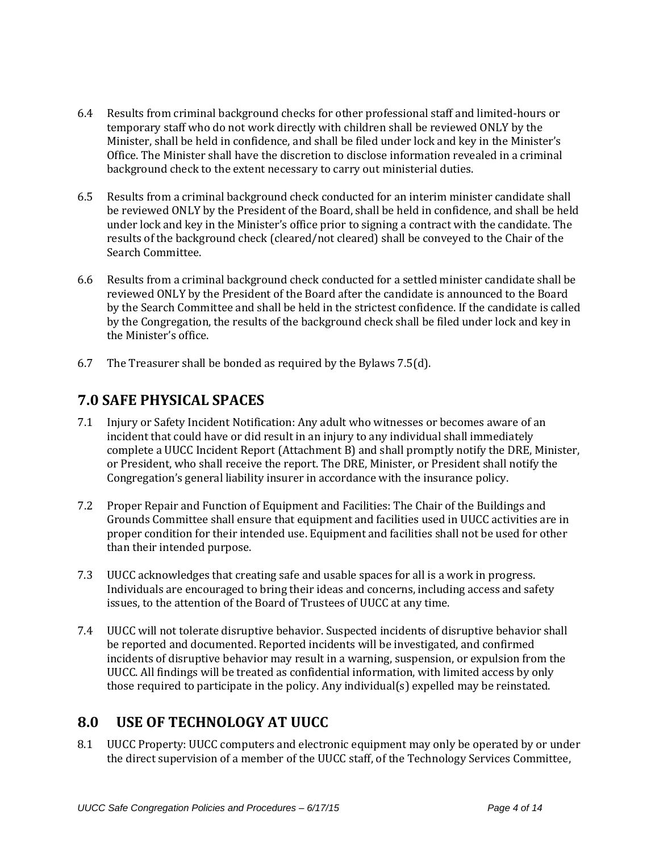- 6.4 Results from criminal background checks for other professional staff and limited-hours or temporary staff who do not work directly with children shall be reviewed ONLY by the Minister, shall be held in confidence, and shall be filed under lock and key in the Minister's Office. The Minister shall have the discretion to disclose information revealed in a criminal background check to the extent necessary to carry out ministerial duties.
- 6.5 Results from a criminal background check conducted for an interim minister candidate shall be reviewed ONLY by the President of the Board, shall be held in confidence, and shall be held under lock and key in the Minister's office prior to signing a contract with the candidate. The results of the background check (cleared/not cleared) shall be conveyed to the Chair of the Search Committee.
- 6.6 Results from a criminal background check conducted for a settled minister candidate shall be reviewed ONLY by the President of the Board after the candidate is announced to the Board by the Search Committee and shall be held in the strictest confidence. If the candidate is called by the Congregation, the results of the background check shall be filed under lock and key in the Minister's office.
- 6.7 The Treasurer shall be bonded as required by the Bylaws 7.5(d).

## **7.0 SAFE PHYSICAL SPACES**

- 7.1 Injury or Safety Incident Notification: Any adult who witnesses or becomes aware of an incident that could have or did result in an injury to any individual shall immediately complete a UUCC Incident Report (Attachment B) and shall promptly notify the DRE, Minister, or President, who shall receive the report. The DRE, Minister, or President shall notify the Congregation's general liability insurer in accordance with the insurance policy.
- 7.2 Proper Repair and Function of Equipment and Facilities: The Chair of the Buildings and Grounds Committee shall ensure that equipment and facilities used in UUCC activities are in proper condition for their intended use. Equipment and facilities shall not be used for other than their intended purpose.
- 7.3 UUCC acknowledges that creating safe and usable spaces for all is a work in progress. Individuals are encouraged to bring their ideas and concerns, including access and safety issues, to the attention of the Board of Trustees of UUCC at any time.
- 7.4 UUCC will not tolerate disruptive behavior. Suspected incidents of disruptive behavior shall be reported and documented. Reported incidents will be investigated, and confirmed incidents of disruptive behavior may result in a warning, suspension, or expulsion from the UUCC. All findings will be treated as confidential information, with limited access by only those required to participate in the policy. Any individual(s) expelled may be reinstated.

### **8.0 USE OF TECHNOLOGY AT UUCC**

8.1 UUCC Property: UUCC computers and electronic equipment may only be operated by or under the direct supervision of a member of the UUCC staff, of the Technology Services Committee,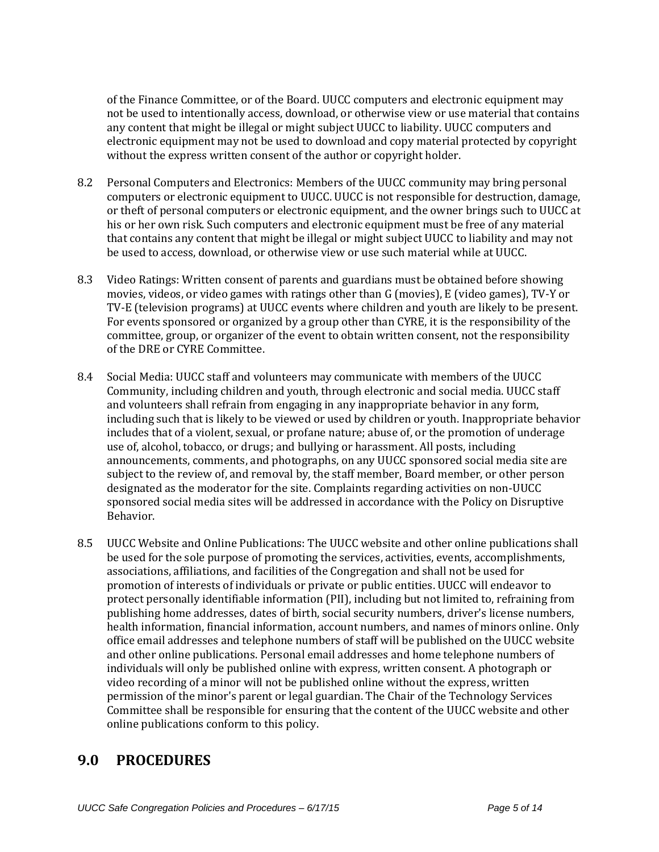of the Finance Committee, or of the Board. UUCC computers and electronic equipment may not be used to intentionally access, download, or otherwise view or use material that contains any content that might be illegal or might subject UUCC to liability. UUCC computers and electronic equipment may not be used to download and copy material protected by copyright without the express written consent of the author or copyright holder.

- 8.2 Personal Computers and Electronics: Members of the UUCC community may bring personal computers or electronic equipment to UUCC. UUCC is not responsible for destruction, damage, or theft of personal computers or electronic equipment, and the owner brings such to UUCC at his or her own risk. Such computers and electronic equipment must be free of any material that contains any content that might be illegal or might subject UUCC to liability and may not be used to access, download, or otherwise view or use such material while at UUCC.
- 8.3 Video Ratings: Written consent of parents and guardians must be obtained before showing movies, videos, or video games with ratings other than G (movies), E (video games), TV-Y or TV-E (television programs) at UUCC events where children and youth are likely to be present. For events sponsored or organized by a group other than CYRE, it is the responsibility of the committee, group, or organizer of the event to obtain written consent, not the responsibility of the DRE or CYRE Committee.
- 8.4 Social Media: UUCC staff and volunteers may communicate with members of the UUCC Community, including children and youth, through electronic and social media. UUCC staff and volunteers shall refrain from engaging in any inappropriate behavior in any form, including such that is likely to be viewed or used by children or youth. Inappropriate behavior includes that of a violent, sexual, or profane nature; abuse of, or the promotion of underage use of, alcohol, tobacco, or drugs; and bullying or harassment. All posts, including announcements, comments, and photographs, on any UUCC sponsored social media site are subject to the review of, and removal by, the staff member, Board member, or other person designated as the moderator for the site. Complaints regarding activities on non-UUCC sponsored social media sites will be addressed in accordance with the Policy on Disruptive Behavior.
- 8.5 UUCC Website and Online Publications: The UUCC website and other online publications shall be used for the sole purpose of promoting the services, activities, events, accomplishments, associations, affiliations, and facilities of the Congregation and shall not be used for promotion of interests of individuals or private or public entities. UUCC will endeavor to protect personally identifiable information (PII), including but not limited to, refraining from publishing home addresses, dates of birth, social security numbers, driver's license numbers, health information, financial information, account numbers, and names of minors online. Only office email addresses and telephone numbers of staff will be published on the UUCC website and other online publications. Personal email addresses and home telephone numbers of individuals will only be published online with express, written consent. A photograph or video recording of a minor will not be published online without the express, written permission of the minor's parent or legal guardian. The Chair of the Technology Services Committee shall be responsible for ensuring that the content of the UUCC website and other online publications conform to this policy.

### **9.0 PROCEDURES**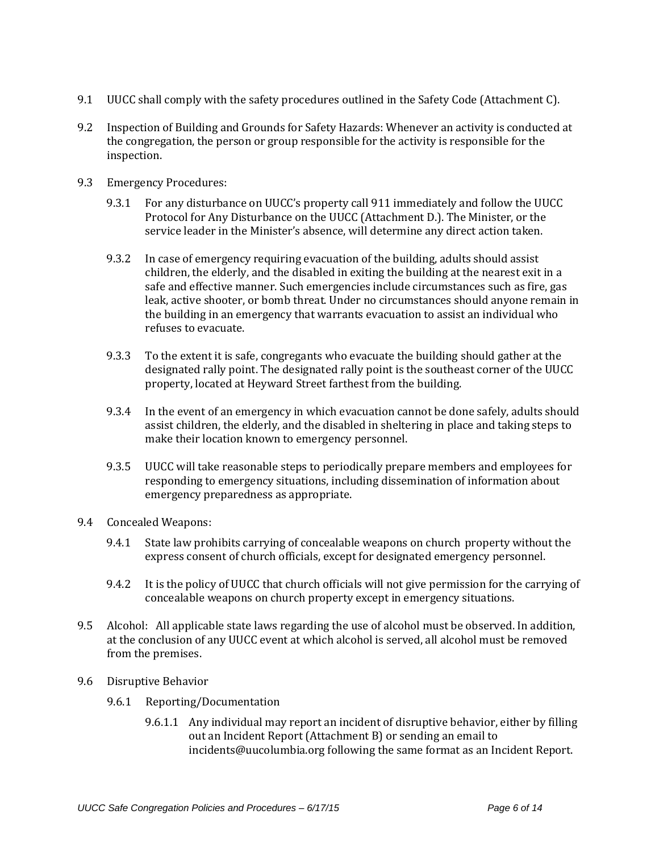- 9.1 UUCC shall comply with the safety procedures outlined in the Safety Code (Attachment C).
- 9.2 Inspection of Building and Grounds for Safety Hazards: Whenever an activity is conducted at the congregation, the person or group responsible for the activity is responsible for the inspection.
- 9.3 Emergency Procedures:
	- 9.3.1 For any disturbance on UUCC's property call 911 immediately and follow the UUCC Protocol for Any Disturbance on the UUCC (Attachment D.). The Minister, or the service leader in the Minister's absence, will determine any direct action taken.
	- 9.3.2 In case of emergency requiring evacuation of the building, adults should assist children, the elderly, and the disabled in exiting the building at the nearest exit in a safe and effective manner. Such emergencies include circumstances such as fire, gas leak, active shooter, or bomb threat. Under no circumstances should anyone remain in the building in an emergency that warrants evacuation to assist an individual who refuses to evacuate.
	- 9.3.3 To the extent it is safe, congregants who evacuate the building should gather at the designated rally point. The designated rally point is the southeast corner of the UUCC property, located at Heyward Street farthest from the building.
	- 9.3.4 In the event of an emergency in which evacuation cannot be done safely, adults should assist children, the elderly, and the disabled in sheltering in place and taking steps to make their location known to emergency personnel.
	- 9.3.5 UUCC will take reasonable steps to periodically prepare members and employees for responding to emergency situations, including dissemination of information about emergency preparedness as appropriate.
- 9.4 Concealed Weapons:
	- 9.4.1 State law prohibits carrying of concealable weapons on church property without the express consent of church officials, except for designated emergency personnel.
	- 9.4.2 It is the policy of UUCC that church officials will not give permission for the carrying of concealable weapons on church property except in emergency situations.
- 9.5 Alcohol: All applicable state laws regarding the use of alcohol must be observed. In addition, at the conclusion of any UUCC event at which alcohol is served, all alcohol must be removed from the premises.
- 9.6 Disruptive Behavior
	- 9.6.1 Reporting/Documentation
		- 9.6.1.1 Any individual may report an incident of disruptive behavior, either by filling out an Incident Report (Attachment B) or sending an email to [incidents@uucolumbia.org](mailto:incidents@uucolumbia.org) following the same format as an Incident Report.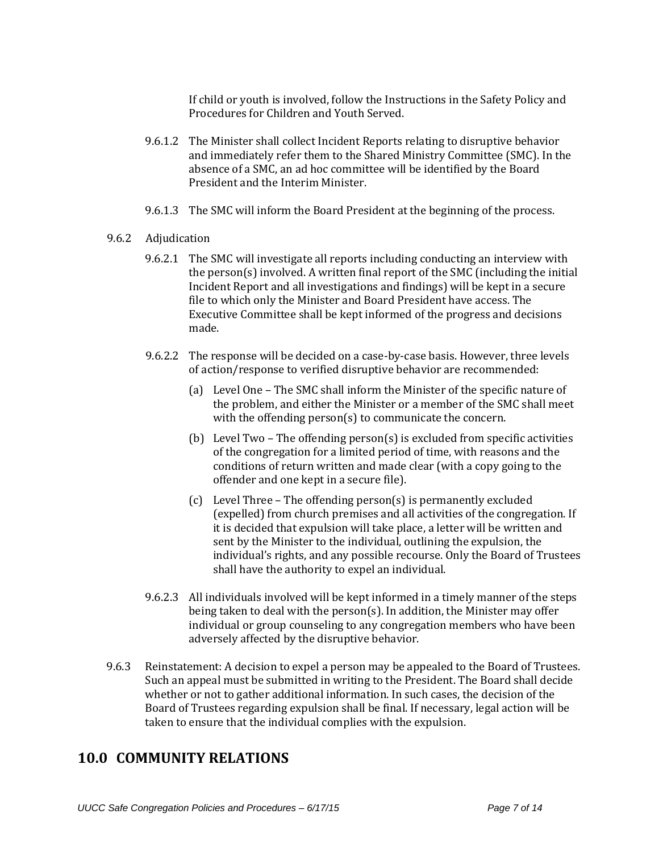If child or youth is involved, follow the Instructions in the Safety Policy and Procedures for Children and Youth Served.

- 9.6.1.2 The Minister shall collect Incident Reports relating to disruptive behavior and immediately refer them to the Shared Ministry Committee (SMC). In the absence of a SMC, an ad hoc committee will be identified by the Board President and the Interim Minister.
- 9.6.1.3 The SMC will inform the Board President at the beginning of the process.

#### 9.6.2 Adjudication

- 9.6.2.1 The SMC will investigate all reports including conducting an interview with the person(s) involved. A written final report of the SMC (including the initial Incident Report and all investigations and findings) will be kept in a secure file to which only the Minister and Board President have access. The Executive Committee shall be kept informed of the progress and decisions made.
- 9.6.2.2 The response will be decided on a case-by-case basis. However, three levels of action/response to verified disruptive behavior are recommended:
	- (a) Level One The SMC shall inform the Minister of the specific nature of the problem, and either the Minister or a member of the SMC shall meet with the offending person(s) to communicate the concern.
	- (b) Level Two The offending person(s) is excluded from specific activities of the congregation for a limited period of time, with reasons and the conditions of return written and made clear (with a copy going to the offender and one kept in a secure file).
	- (c) Level Three The offending person(s) is permanently excluded (expelled) from church premises and all activities of the congregation. If it is decided that expulsion will take place, a letter will be written and sent by the Minister to the individual, outlining the expulsion, the individual's rights, and any possible recourse. Only the Board of Trustees shall have the authority to expel an individual.
- 9.6.2.3 All individuals involved will be kept informed in a timely manner of the steps being taken to deal with the person(s). In addition, the Minister may offer individual or group counseling to any congregation members who have been adversely affected by the disruptive behavior.
- 9.6.3 Reinstatement: A decision to expel a person may be appealed to the Board of Trustees. Such an appeal must be submitted in writing to the President. The Board shall decide whether or not to gather additional information. In such cases, the decision of the Board of Trustees regarding expulsion shall be final. If necessary, legal action will be taken to ensure that the individual complies with the expulsion.

#### **10.0 COMMUNITY RELATIONS**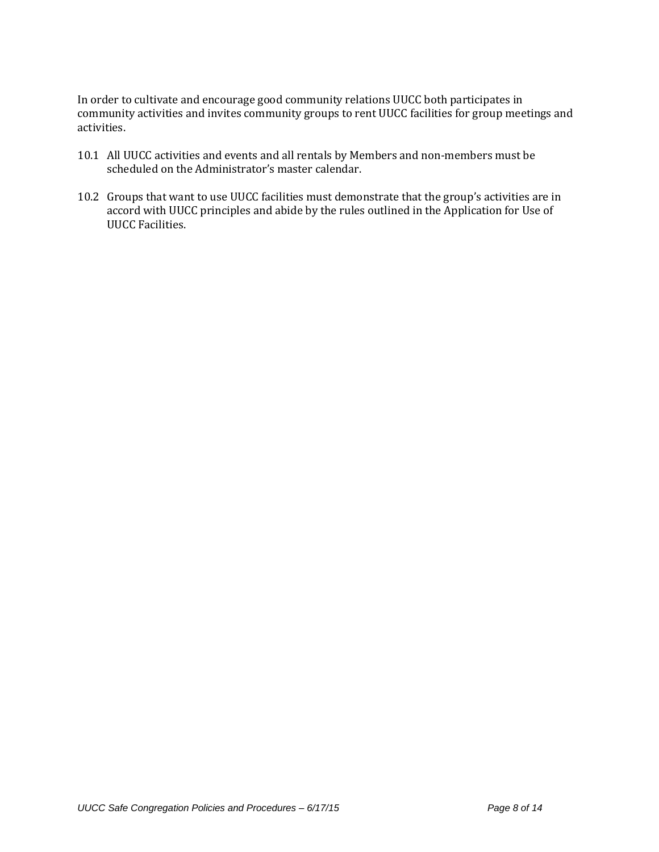In order to cultivate and encourage good community relations UUCC both participates in community activities and invites community groups to rent UUCC facilities for group meetings and activities.

- 10.1 All UUCC activities and events and all rentals by Members and non-members must be scheduled on the Administrator's master calendar.
- 10.2 Groups that want to use UUCC facilities must demonstrate that the group's activities are in accord with UUCC principles and abide by the rules outlined in the Application for Use of UUCC Facilities.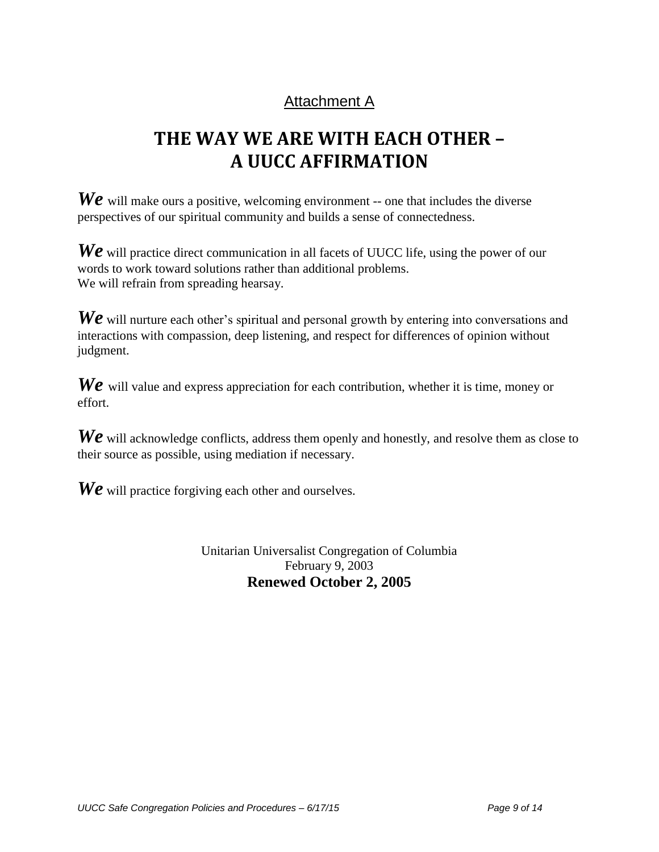# Attachment A

# **THE WAY WE ARE WITH EACH OTHER – A UUCC AFFIRMATION**

*We* will make ours a positive, welcoming environment -- one that includes the diverse perspectives of our spiritual community and builds a sense of connectedness.

*We* will practice direct communication in all facets of UUCC life, using the power of our words to work toward solutions rather than additional problems. We will refrain from spreading hearsay.

We will nurture each other's spiritual and personal growth by entering into conversations and interactions with compassion, deep listening, and respect for differences of opinion without judgment.

*We* will value and express appreciation for each contribution, whether it is time, money or effort.

*We* will acknowledge conflicts, address them openly and honestly, and resolve them as close to their source as possible, using mediation if necessary.

**We** will practice forgiving each other and ourselves.

Unitarian Universalist Congregation of Columbia February 9, 2003 **Renewed October 2, 2005**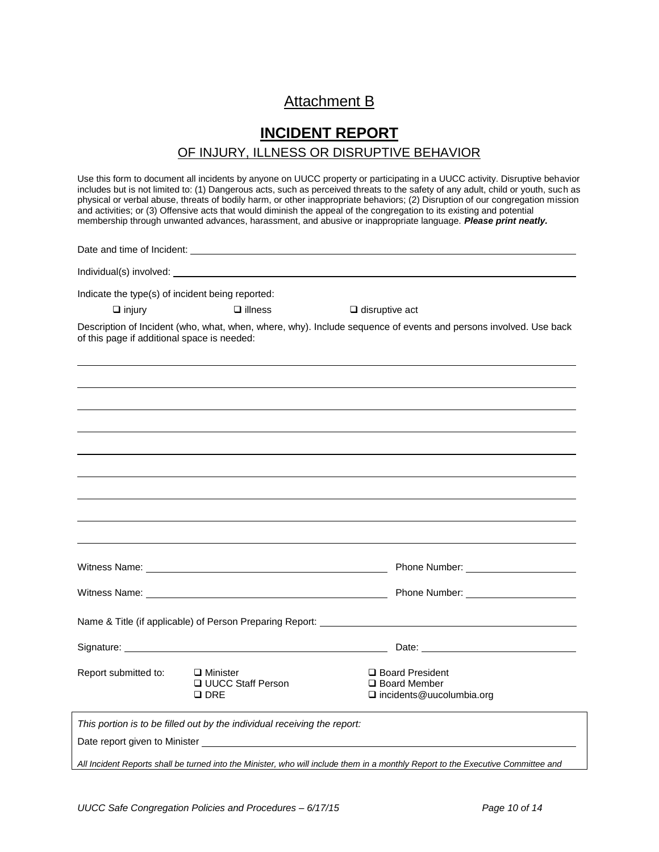### Attachment B

## **INCIDENT REPORT**  OF INJURY, ILLNESS OR DISRUPTIVE BEHAVIOR

Use this form to document all incidents by anyone on UUCC property or participating in a UUCC activity. Disruptive behavior includes but is not limited to: (1) Dangerous acts, such as perceived threats to the safety of any adult, child or youth, such as physical or verbal abuse, threats of bodily harm, or other inappropriate behaviors; (2) Disruption of our congregation mission and activities; or (3) Offensive acts that would diminish the appeal of the congregation to its existing and potential membership through unwanted advances, harassment, and abusive or inappropriate language. *Please print neatly.*

| Indicate the type(s) of incident being reported: |                                                                          |                       |                                                                                                                                  |
|--------------------------------------------------|--------------------------------------------------------------------------|-----------------------|----------------------------------------------------------------------------------------------------------------------------------|
| $\Box$ injury                                    | $\Box$ illness                                                           | $\Box$ disruptive act |                                                                                                                                  |
| of this page if additional space is needed:      |                                                                          |                       | Description of Incident (who, what, when, where, why). Include sequence of events and persons involved. Use back                 |
|                                                  |                                                                          |                       |                                                                                                                                  |
|                                                  |                                                                          |                       |                                                                                                                                  |
|                                                  |                                                                          |                       |                                                                                                                                  |
|                                                  |                                                                          |                       |                                                                                                                                  |
|                                                  |                                                                          |                       |                                                                                                                                  |
|                                                  |                                                                          |                       |                                                                                                                                  |
|                                                  |                                                                          |                       |                                                                                                                                  |
|                                                  |                                                                          |                       |                                                                                                                                  |
|                                                  |                                                                          |                       |                                                                                                                                  |
|                                                  |                                                                          |                       |                                                                                                                                  |
|                                                  |                                                                          |                       |                                                                                                                                  |
|                                                  |                                                                          |                       |                                                                                                                                  |
|                                                  |                                                                          |                       |                                                                                                                                  |
| Report submitted to:                             | $\Box$ Minister<br><b>Q UUCC Staff Person</b><br>$\square$ DRE           |                       | □ Board President<br>□ Board Member<br>□ incidents@uucolumbia.org                                                                |
|                                                  | This portion is to be filled out by the individual receiving the report: |                       |                                                                                                                                  |
|                                                  |                                                                          |                       |                                                                                                                                  |
|                                                  |                                                                          |                       | All Incident Reports shall be turned into the Minister, who will include them in a monthly Report to the Executive Committee and |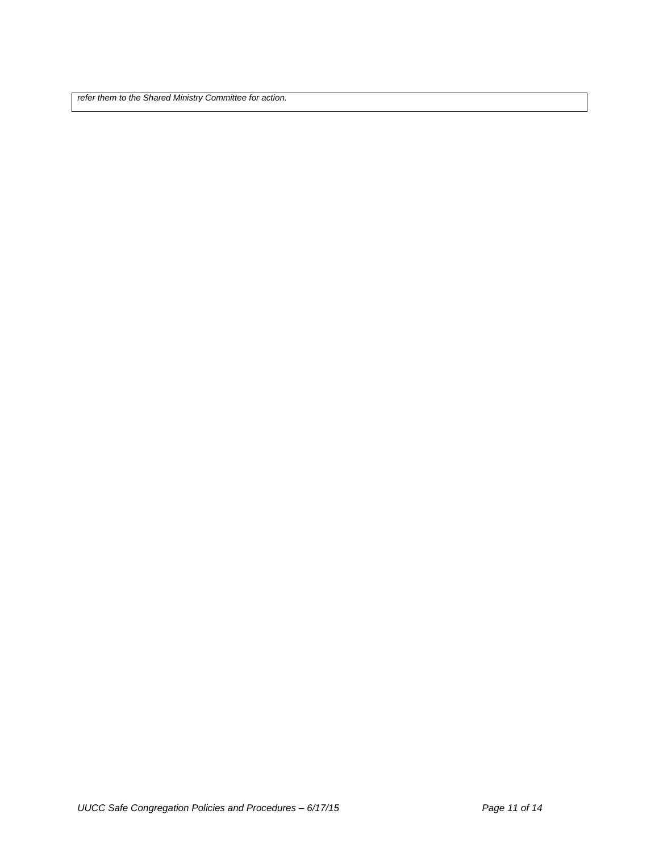*refer them to the Shared Ministry Committee for action.*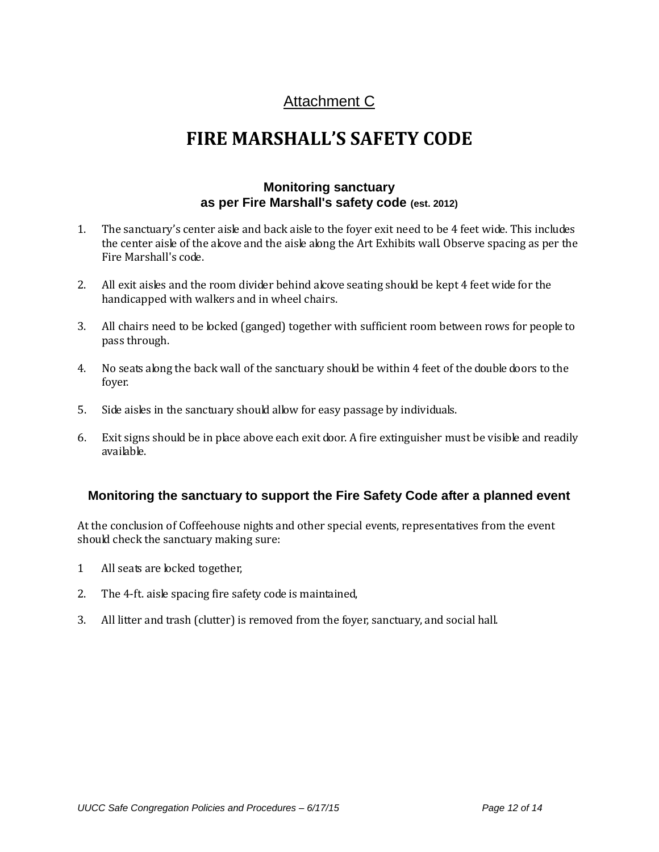# Attachment C

# **FIRE MARSHALL'S SAFETY CODE**

#### **Monitoring sanctuary as per Fire Marshall's safety code (est. 2012)**

- 1. The sanctuary's center aisle and back aisle to the foyer exit need to be 4 feet wide. This includes the center aisle of the alcove and the aisle along the Art Exhibits wall. Observe spacing as per the Fire Marshall's code.
- 2. All exit aisles and the room divider behind alcove seating should be kept 4 feet wide for the handicapped with walkers and in wheel chairs.
- 3. All chairs need to be locked (ganged) together with sufficient room between rows for people to pass through.
- 4. No seats along the back wall of the sanctuary should be within 4 feet of the double doors to the foyer.
- 5. Side aisles in the sanctuary should allow for easy passage by individuals.
- 6. Exit signs should be in place above each exit door. A fire extinguisher must be visible and readily available.

#### **Monitoring the sanctuary to support the Fire Safety Code after a planned event**

At the conclusion of Coffeehouse nights and other special events, representatives from the event should check the sanctuary making sure:

- 1 All seats are locked together,
- 2. The 4-ft. aisle spacing fire safety code is maintained,
- 3. All litter and trash (clutter) is removed from the foyer, sanctuary, and social hall.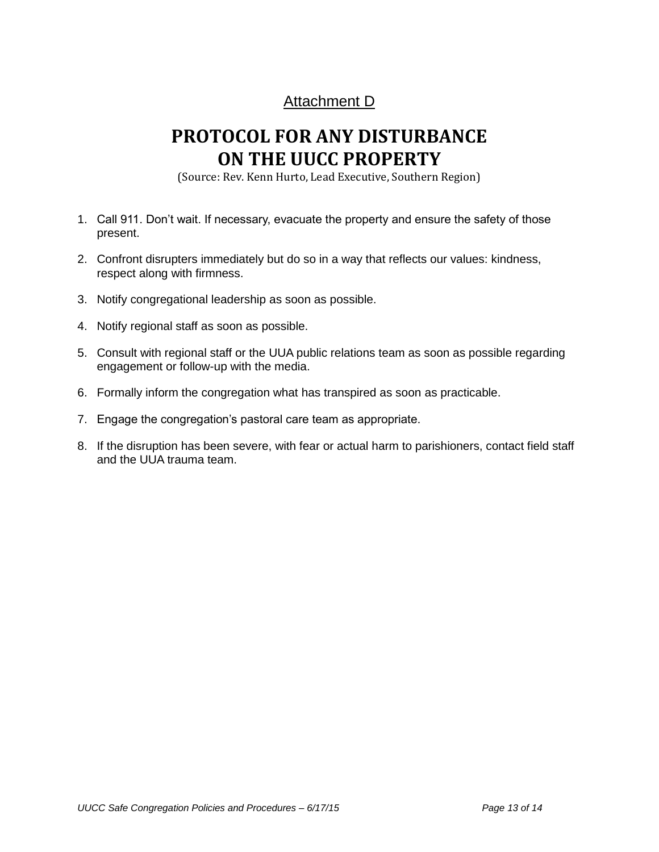# Attachment D

# **PROTOCOL FOR ANY DISTURBANCE ON THE UUCC PROPERTY**

(Source: Rev. Kenn Hurto, Lead Executive, Southern Region)

- 1. Call 911. Don't wait. If necessary, evacuate the property and ensure the safety of those present.
- 2. Confront disrupters immediately but do so in a way that reflects our values: kindness, respect along with firmness.
- 3. Notify congregational leadership as soon as possible.
- 4. Notify regional staff as soon as possible.
- 5. Consult with regional staff or the UUA public relations team as soon as possible regarding engagement or follow-up with the media.
- 6. Formally inform the congregation what has transpired as soon as practicable.
- 7. Engage the congregation's pastoral care team as appropriate.
- 8. If the disruption has been severe, with fear or actual harm to parishioners, contact field staff and the UUA trauma team.